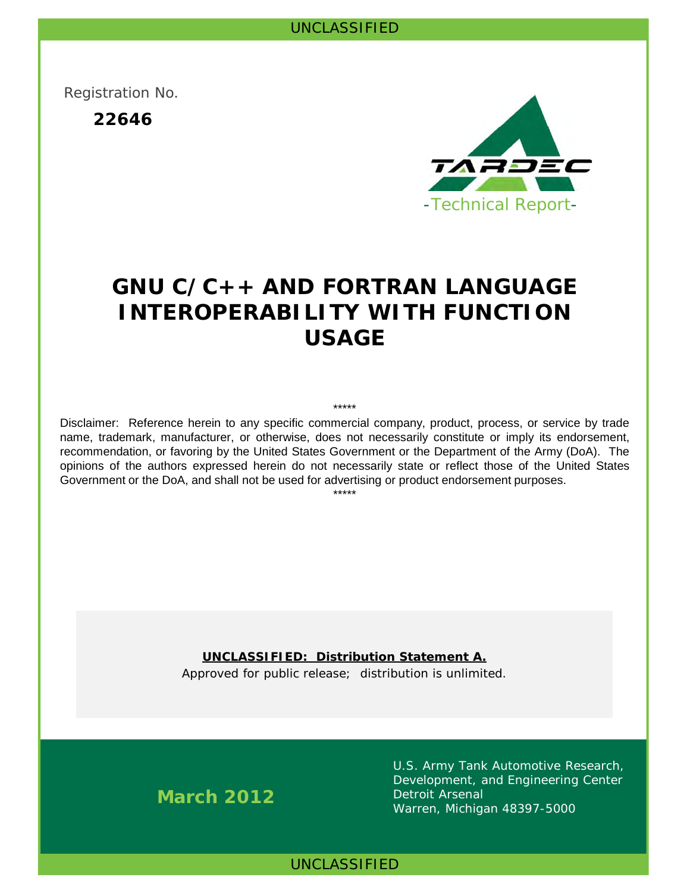Registration No.

**22646**



# **GNU C/C++ AND FORTRAN LANGUAGE INTEROPERABILITY WITH FUNCTION USAGE**

Disclaimer: Reference herein to any specific commercial company, product, process, or service by trade name, trademark, manufacturer, or otherwise, does not necessarily constitute or imply its endorsement, recommendation, or favoring by the United States Government or the Department of the Army (DoA). The opinions of the authors expressed herein do not necessarily state or reflect those of the United States Government or the DoA, and shall not be used for advertising or product endorsement purposes. \*\*\*\*\*

\*\*\*\*\*

## **UNCLASSIFIED: Distribution Statement A.**

Approved for public release; distribution is unlimited.

**March 2012**

U.S. Army Tank Automotive Research, Development, and Engineering Center Detroit Arsenal Warren, Michigan 48397-5000

UNCLASSIFIED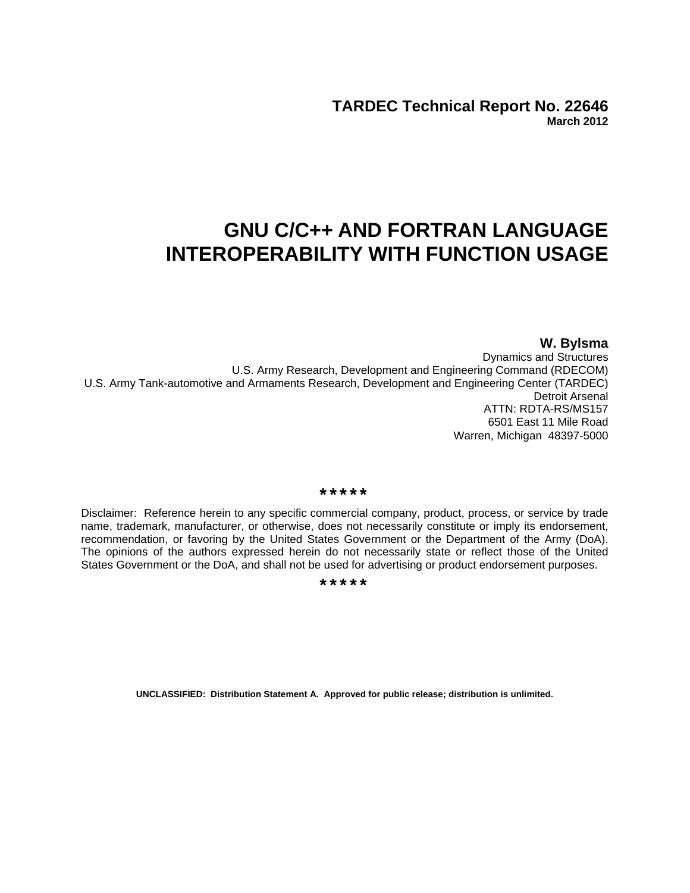**TARDEC Technical Report No. 22646 March 2012** 

# **GNU C/C++ AND FORTRAN LANGUAGE INTEROPERABILITY WITH FUNCTION USAGE**

**W. Bylsma**  Dynamics and Structures U.S. Army Research, Development and Engineering Command (RDECOM) U.S. Army Tank-automotive and Armaments Research, Development and Engineering Center (TARDEC) Detroit Arsenal ATTN: RDTA-RS/MS157 6501 East 11 Mile Road Warren, Michigan 48397-5000

#### \*\*\*\*\*

Disclaimer: Reference herein to any specific commercial company, product, process, or service by trade name, trademark, manufacturer, or otherwise, does not necessarily constitute or imply its endorsement, recommendation, or favoring by the United States Government or the Department of the Army (DoA). The opinions of the authors expressed herein do not necessarily state or reflect those of the United States Government or the DoA, and shall not be used for advertising or product endorsement purposes.

#### \*\*\*\*\*

**UNCLASSIFIED: Distribution Statement A. Approved for public release; distribution is unlimited.**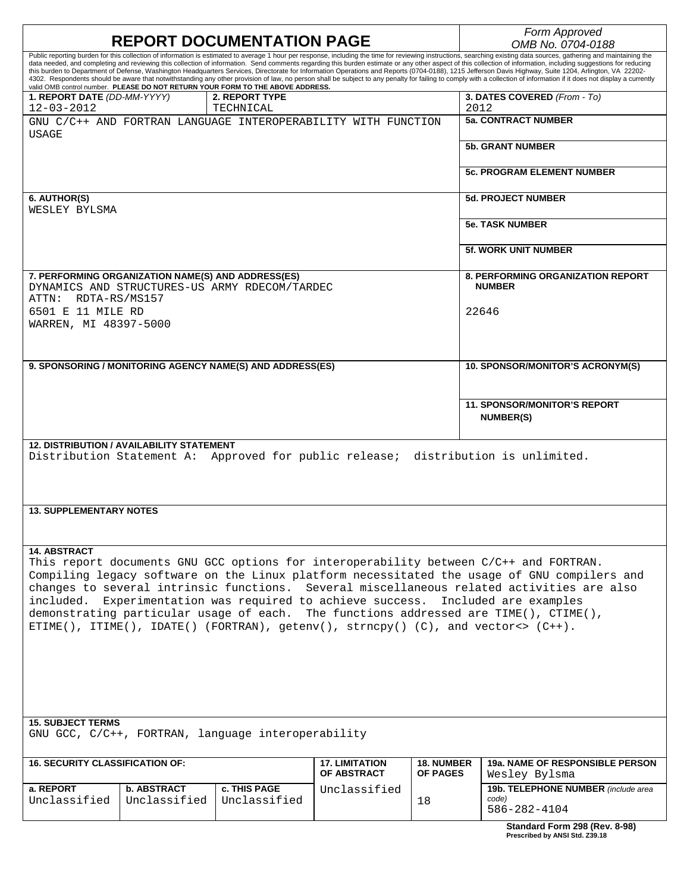| <b>REPORT DOCUMENTATION PAGE</b>                                                                                                                                                                                                                                                                                                                                                                                                                                                                                                                                          |                                    |                                                                                                               |                                      |                                      | Form Approved<br>OMB No. 0704-0188                                                                                                                                                                                                                                                                                                                                                                                                                                                                                                                                                                                                                                                                                                                                                                                                                                            |  |  |  |
|---------------------------------------------------------------------------------------------------------------------------------------------------------------------------------------------------------------------------------------------------------------------------------------------------------------------------------------------------------------------------------------------------------------------------------------------------------------------------------------------------------------------------------------------------------------------------|------------------------------------|---------------------------------------------------------------------------------------------------------------|--------------------------------------|--------------------------------------|-------------------------------------------------------------------------------------------------------------------------------------------------------------------------------------------------------------------------------------------------------------------------------------------------------------------------------------------------------------------------------------------------------------------------------------------------------------------------------------------------------------------------------------------------------------------------------------------------------------------------------------------------------------------------------------------------------------------------------------------------------------------------------------------------------------------------------------------------------------------------------|--|--|--|
|                                                                                                                                                                                                                                                                                                                                                                                                                                                                                                                                                                           |                                    |                                                                                                               |                                      |                                      | Public reporting burden for this collection of information is estimated to average 1 hour per response, including the time for reviewing instructions, searching existing data sources, gathering and maintaining the<br>data needed, and completing and reviewing this collection of information. Send comments regarding this burden estimate or any other aspect of this collection of information, including suggestions for reducing<br>this burden to Department of Defense, Washington Headquarters Services, Directorate for Information Operations and Reports (0704-0188), 1215 Jefferson Davis Highway, Suite 1204, Arlington, VA 22202-<br>4302. Respondents should be aware that notwithstanding any other provision of law, no person shall be subject to any penalty for failing to comply with a collection of information if it does not display a currently |  |  |  |
| 1. REPORT DATE (DD-MM-YYYY)<br>$12 - 03 - 2012$                                                                                                                                                                                                                                                                                                                                                                                                                                                                                                                           |                                    | valid OMB control number. PLEASE DO NOT RETURN YOUR FORM TO THE ABOVE ADDRESS.<br>2. REPORT TYPE<br>TECHNICAL |                                      |                                      | 3. DATES COVERED (From - To)<br>2012                                                                                                                                                                                                                                                                                                                                                                                                                                                                                                                                                                                                                                                                                                                                                                                                                                          |  |  |  |
| USAGE                                                                                                                                                                                                                                                                                                                                                                                                                                                                                                                                                                     |                                    | GNU C/C++ AND FORTRAN LANGUAGE INTEROPERABILITY WITH FUNCTION                                                 |                                      |                                      | <b>5a. CONTRACT NUMBER</b>                                                                                                                                                                                                                                                                                                                                                                                                                                                                                                                                                                                                                                                                                                                                                                                                                                                    |  |  |  |
|                                                                                                                                                                                                                                                                                                                                                                                                                                                                                                                                                                           |                                    |                                                                                                               |                                      |                                      | <b>5b. GRANT NUMBER</b>                                                                                                                                                                                                                                                                                                                                                                                                                                                                                                                                                                                                                                                                                                                                                                                                                                                       |  |  |  |
|                                                                                                                                                                                                                                                                                                                                                                                                                                                                                                                                                                           |                                    |                                                                                                               |                                      |                                      | <b>5c. PROGRAM ELEMENT NUMBER</b>                                                                                                                                                                                                                                                                                                                                                                                                                                                                                                                                                                                                                                                                                                                                                                                                                                             |  |  |  |
| 6. AUTHOR(S)<br>WESLEY BYLSMA                                                                                                                                                                                                                                                                                                                                                                                                                                                                                                                                             |                                    |                                                                                                               |                                      |                                      | <b>5d. PROJECT NUMBER</b>                                                                                                                                                                                                                                                                                                                                                                                                                                                                                                                                                                                                                                                                                                                                                                                                                                                     |  |  |  |
|                                                                                                                                                                                                                                                                                                                                                                                                                                                                                                                                                                           |                                    |                                                                                                               |                                      |                                      | <b>5e. TASK NUMBER</b>                                                                                                                                                                                                                                                                                                                                                                                                                                                                                                                                                                                                                                                                                                                                                                                                                                                        |  |  |  |
|                                                                                                                                                                                                                                                                                                                                                                                                                                                                                                                                                                           |                                    |                                                                                                               |                                      |                                      | <b>5f. WORK UNIT NUMBER</b>                                                                                                                                                                                                                                                                                                                                                                                                                                                                                                                                                                                                                                                                                                                                                                                                                                                   |  |  |  |
|                                                                                                                                                                                                                                                                                                                                                                                                                                                                                                                                                                           |                                    | 7. PERFORMING ORGANIZATION NAME(S) AND ADDRESS(ES)<br>DYNAMICS AND STRUCTURES-US ARMY RDECOM/TARDEC           |                                      |                                      | <b>8. PERFORMING ORGANIZATION REPORT</b><br><b>NUMBER</b>                                                                                                                                                                                                                                                                                                                                                                                                                                                                                                                                                                                                                                                                                                                                                                                                                     |  |  |  |
| ATTN: RDTA-RS/MS157<br>6501 E 11 MILE RD                                                                                                                                                                                                                                                                                                                                                                                                                                                                                                                                  |                                    |                                                                                                               |                                      |                                      | 22646                                                                                                                                                                                                                                                                                                                                                                                                                                                                                                                                                                                                                                                                                                                                                                                                                                                                         |  |  |  |
| WARREN, MI 48397-5000                                                                                                                                                                                                                                                                                                                                                                                                                                                                                                                                                     |                                    |                                                                                                               |                                      |                                      |                                                                                                                                                                                                                                                                                                                                                                                                                                                                                                                                                                                                                                                                                                                                                                                                                                                                               |  |  |  |
|                                                                                                                                                                                                                                                                                                                                                                                                                                                                                                                                                                           |                                    | 9. SPONSORING / MONITORING AGENCY NAME(S) AND ADDRESS(ES)                                                     |                                      |                                      | 10. SPONSOR/MONITOR'S ACRONYM(S)                                                                                                                                                                                                                                                                                                                                                                                                                                                                                                                                                                                                                                                                                                                                                                                                                                              |  |  |  |
|                                                                                                                                                                                                                                                                                                                                                                                                                                                                                                                                                                           |                                    |                                                                                                               |                                      |                                      |                                                                                                                                                                                                                                                                                                                                                                                                                                                                                                                                                                                                                                                                                                                                                                                                                                                                               |  |  |  |
|                                                                                                                                                                                                                                                                                                                                                                                                                                                                                                                                                                           |                                    |                                                                                                               |                                      |                                      | <b>11. SPONSOR/MONITOR'S REPORT</b><br><b>NUMBER(S)</b>                                                                                                                                                                                                                                                                                                                                                                                                                                                                                                                                                                                                                                                                                                                                                                                                                       |  |  |  |
| <b>12. DISTRIBUTION / AVAILABILITY STATEMENT</b><br>Distribution Statement A: Approved for public release; distribution is unlimited.<br><b>13. SUPPLEMENTARY NOTES</b>                                                                                                                                                                                                                                                                                                                                                                                                   |                                    |                                                                                                               |                                      |                                      |                                                                                                                                                                                                                                                                                                                                                                                                                                                                                                                                                                                                                                                                                                                                                                                                                                                                               |  |  |  |
|                                                                                                                                                                                                                                                                                                                                                                                                                                                                                                                                                                           |                                    |                                                                                                               |                                      |                                      |                                                                                                                                                                                                                                                                                                                                                                                                                                                                                                                                                                                                                                                                                                                                                                                                                                                                               |  |  |  |
| <b>14. ABSTRACT</b><br>This report documents GNU GCC options for interoperability between C/C++ and FORTRAN.<br>Compiling legacy software on the Linux platform necessitated the usage of GNU compilers and<br>changes to several intrinsic functions. Several miscellaneous related activities are also<br>included. Experimentation was required to achieve success. Included are examples<br>demonstrating particular usage of each. The functions addressed are TIME(), CTIME(),<br>ETIME(), ITIME(), IDATE() (FORTRAN), getenv(), strncpy() (C), and vector<> (C++). |                                    |                                                                                                               |                                      |                                      |                                                                                                                                                                                                                                                                                                                                                                                                                                                                                                                                                                                                                                                                                                                                                                                                                                                                               |  |  |  |
| <b>15. SUBJECT TERMS</b><br>GNU GCC, C/C++, FORTRAN, language interoperability                                                                                                                                                                                                                                                                                                                                                                                                                                                                                            |                                    |                                                                                                               |                                      |                                      |                                                                                                                                                                                                                                                                                                                                                                                                                                                                                                                                                                                                                                                                                                                                                                                                                                                                               |  |  |  |
|                                                                                                                                                                                                                                                                                                                                                                                                                                                                                                                                                                           |                                    |                                                                                                               |                                      |                                      |                                                                                                                                                                                                                                                                                                                                                                                                                                                                                                                                                                                                                                                                                                                                                                                                                                                                               |  |  |  |
| <b>16. SECURITY CLASSIFICATION OF:</b>                                                                                                                                                                                                                                                                                                                                                                                                                                                                                                                                    |                                    |                                                                                                               | <b>17. LIMITATION</b><br>OF ABSTRACT | <b>18. NUMBER</b><br><b>OF PAGES</b> | <b>19a. NAME OF RESPONSIBLE PERSON</b><br>Wesley Bylsma                                                                                                                                                                                                                                                                                                                                                                                                                                                                                                                                                                                                                                                                                                                                                                                                                       |  |  |  |
| a. REPORT<br>Unclassified                                                                                                                                                                                                                                                                                                                                                                                                                                                                                                                                                 | <b>b. ABSTRACT</b><br>Unclassified | c. THIS PAGE<br>Unclassified                                                                                  | Unclassified                         | 18                                   | 19b. TELEPHONE NUMBER (include area<br>code)<br>586-282-4104                                                                                                                                                                                                                                                                                                                                                                                                                                                                                                                                                                                                                                                                                                                                                                                                                  |  |  |  |
|                                                                                                                                                                                                                                                                                                                                                                                                                                                                                                                                                                           |                                    |                                                                                                               |                                      |                                      | Standard Form 298 (Rev. 8-98)                                                                                                                                                                                                                                                                                                                                                                                                                                                                                                                                                                                                                                                                                                                                                                                                                                                 |  |  |  |

**Standard Form 298 (Rev. 8-98) Prescribed by ANSI Std. Z39.18**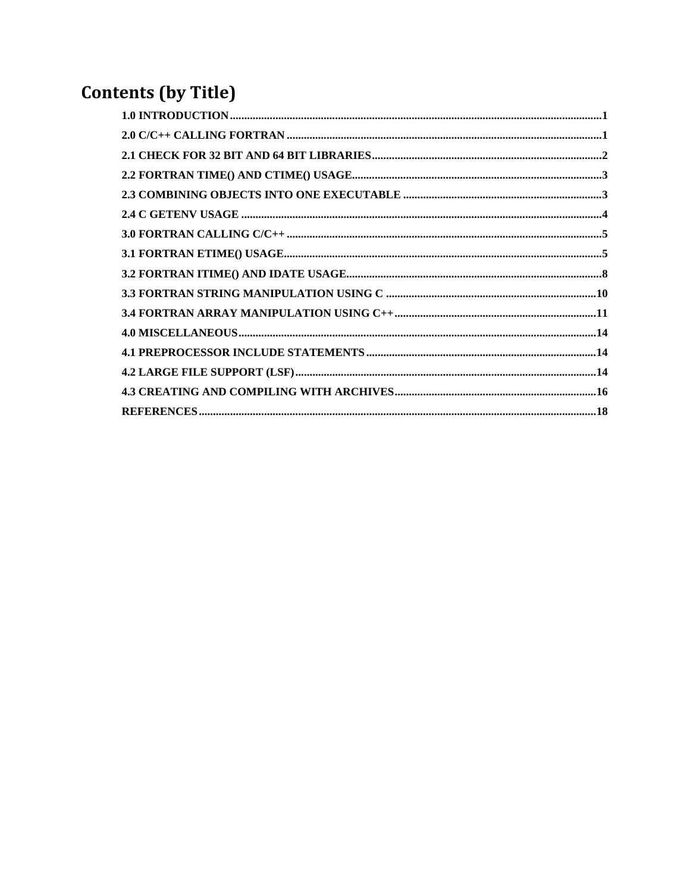# **Contents (by Title)**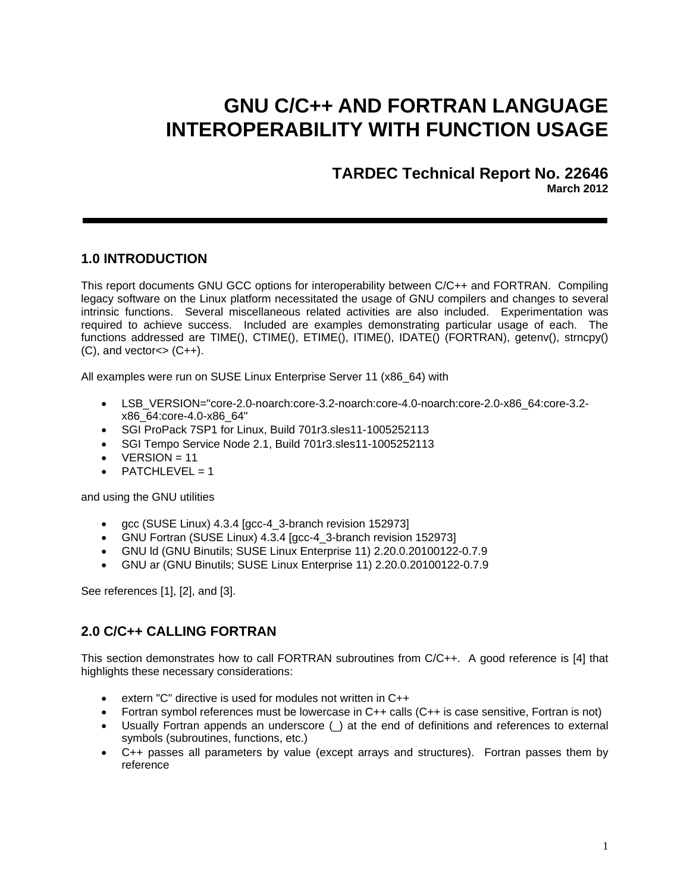# **GNU C/C++ AND FORTRAN LANGUAGE INTEROPERABILITY WITH FUNCTION USAGE**

# **TARDEC Technical Report No. 22646 March 2012**

## **1.0 INTRODUCTION**

This report documents GNU GCC options for interoperability between C/C++ and FORTRAN. Compiling legacy software on the Linux platform necessitated the usage of GNU compilers and changes to several intrinsic functions. Several miscellaneous related activities are also included. Experimentation was required to achieve success. Included are examples demonstrating particular usage of each. The functions addressed are TIME(), CTIME(), ETIME(), ITIME(), IDATE() (FORTRAN), getenv(), strncpy()  $(C)$ , and vector $\lt$   $(C++)$ .

All examples were run on SUSE Linux Enterprise Server 11 (x86\_64) with

- LSB\_VERSION="core-2.0-noarch:core-3.2-noarch:core-4.0-noarch:core-2.0-x86\_64:core-3.2 x86\_64:core-4.0-x86\_64"
- SGI ProPack 7SP1 for Linux, Build 701r3.sles11-1005252113
- SGI Tempo Service Node 2.1, Build 701r3.sles11-1005252113
- VERSION = 11
- $\bullet$  PATCHLEVEL = 1

and using the GNU utilities

- gcc (SUSE Linux) 4.3.4 [gcc-4\_3-branch revision 152973]
- GNU Fortran (SUSE Linux) 4.3.4 [gcc-4\_3-branch revision 152973]
- GNU ld (GNU Binutils; SUSE Linux Enterprise 11) 2.20.0.20100122-0.7.9
- GNU ar (GNU Binutils; SUSE Linux Enterprise 11) 2.20.0.20100122-0.7.9

See references [1], [2], and [3].

# **2.0 C/C++ CALLING FORTRAN**

This section demonstrates how to call FORTRAN subroutines from C/C++. A good reference is [4] that highlights these necessary considerations:

- extern "C" directive is used for modules not written in C++
- Fortran symbol references must be lowercase in C++ calls (C++ is case sensitive, Fortran is not)
- Usually Fortran appends an underscore (\_) at the end of definitions and references to external symbols (subroutines, functions, etc.)
- C++ passes all parameters by value (except arrays and structures). Fortran passes them by reference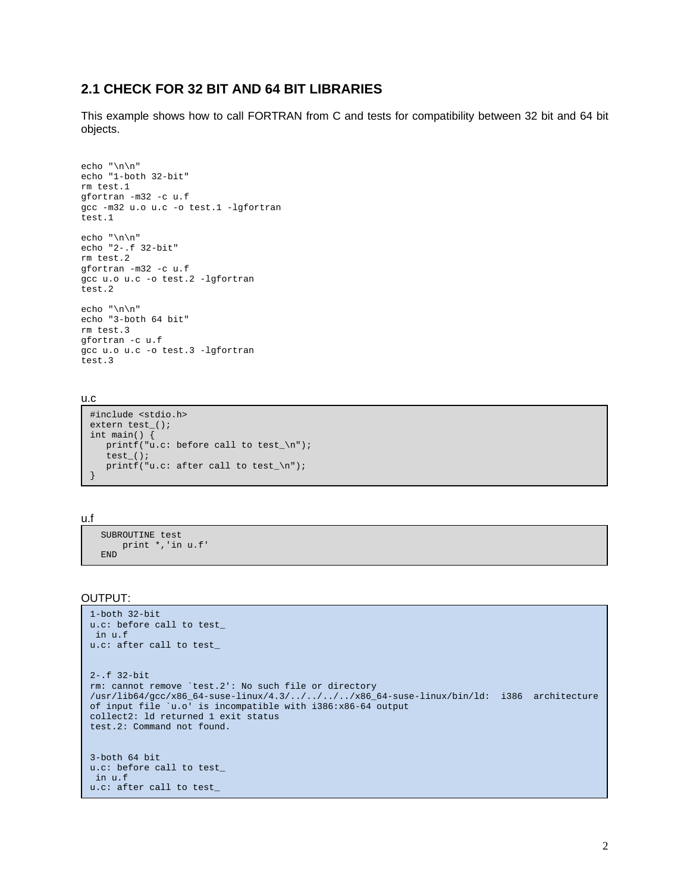# **2.1 CHECK FOR 32 BIT AND 64 BIT LIBRARIES**

This example shows how to call FORTRAN from C and tests for compatibility between 32 bit and 64 bit objects.

```
echo "\n\ln"
echo "1-both 32-bit" 
rm test.1 
gfortran -m32 -c u.f 
gcc -m32 u.o u.c -o test.1 -lgfortran 
test.1 
echo "\n\n" 
echo "2-.f 32-bit" 
rm test.2 
gfortran -m32 -c u.f 
gcc u.o u.c -o test.2 -lgfortran 
test.2 
echo "\n\n" 
echo "3-both 64 bit" 
rm test.3 
gfortran -c u.f 
gcc u.o u.c -o test.3 -lgfortran 
test.3
```
u.c

```
#include <stdio.h> 
extern test_(); 
int main() { 
   printf("u.c: before call to test_\n"); 
   test_(); 
  printf("u.c: after call to test_\n"); 
}
```
#### u.f

```
 SUBROUTINE test 
   print *,'in u.f' 
 END
```
#### OUTPUT:

```
1-both 32-bit 
u.c: before call to test_ 
 in u.f 
u.c: after call to test_ 
2-.f 32-bit 
rm: cannot remove `test.2': No such file or directory 
/usr/lib64/gcc/x86_64-suse-linux/4.3/../../../../x86_64-suse-linux/bin/ld: i386 architecture 
of input file `u.o' is incompatible with i386:x86-64 output 
collect2: ld returned 1 exit status 
test.2: Command not found. 
3-both 64 bit 
u.c: before call to test_ 
 in u.f 
u.c: after call to test_
```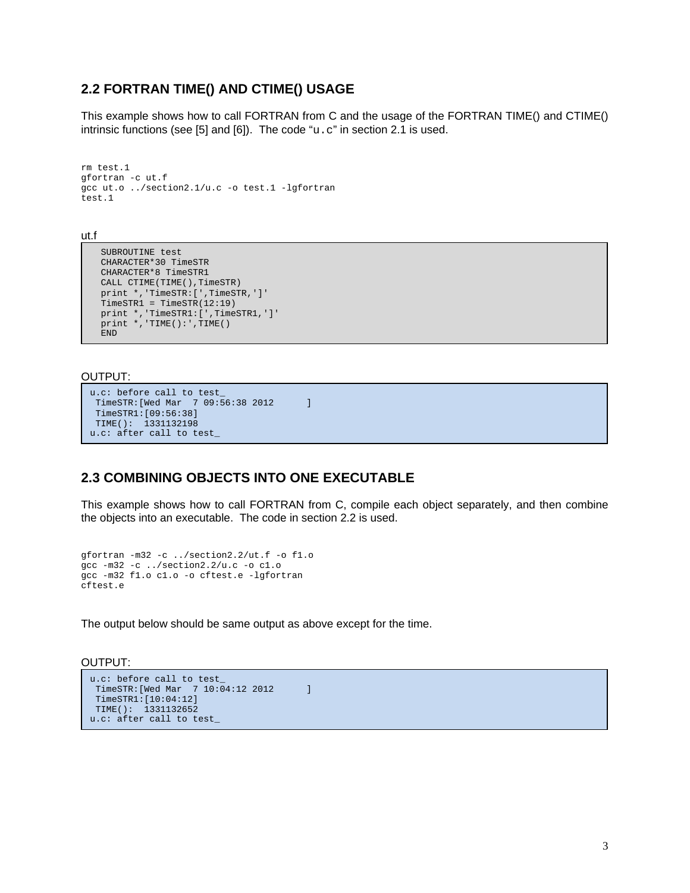## **2.2 FORTRAN TIME() AND CTIME() USAGE**

This example shows how to call FORTRAN from C and the usage of the FORTRAN TIME() and CTIME() intrinsic functions (see [5] and [6]). The code " $u.c$ " in section 2.1 is used.

```
rm test.1 
gfortran -c ut.f 
gcc ut.o ../section2.1/u.c -o test.1 -lgfortran 
test.1
```
ut.f

```
 SUBROUTINE test 
  CHARACTER*30 TimeSTR 
  CHARACTER*8 TimeSTR1 
  CALL CTIME(TIME(),TimeSTR) 
  print *,'TimeSTR:[',TimeSTR,']' 
  TimeSTR1 = TimeSTR(12:19) 
 print *,'TimeSTR1:[',TimeSTR1,']' 
 print *,'TIME():',TIME() 
  END
```
#### OUTPUT:

```
u.c: before call to test_ 
TimeSTR: [Wed Mar 7 09:56:38 2012 ]
 TimeSTR1:[09:56:38] 
 TIME(): 1331132198 
u.c: after call to test_
```
## **2.3 COMBINING OBJECTS INTO ONE EXECUTABLE**

This example shows how to call FORTRAN from C, compile each object separately, and then combine the objects into an executable. The code in section 2.2 is used.

```
gfortran -m32 -c ../section2.2/ut.f -o f1.o 
gcc -m32 -c ../section2.2/u.c -o c1.o 
gcc -m32 f1.o c1.o -o cftest.e -lgfortran 
cftest.e
```
The output below should be same output as above except for the time.

OUTPUT:

```
u.c: before call to test_ 
TimeSTR:[Wed Mar  7 10:04:12 2012 ]
 TimeSTR1:[10:04:12] 
 TIME(): 1331132652 
u.c: after call to test_
```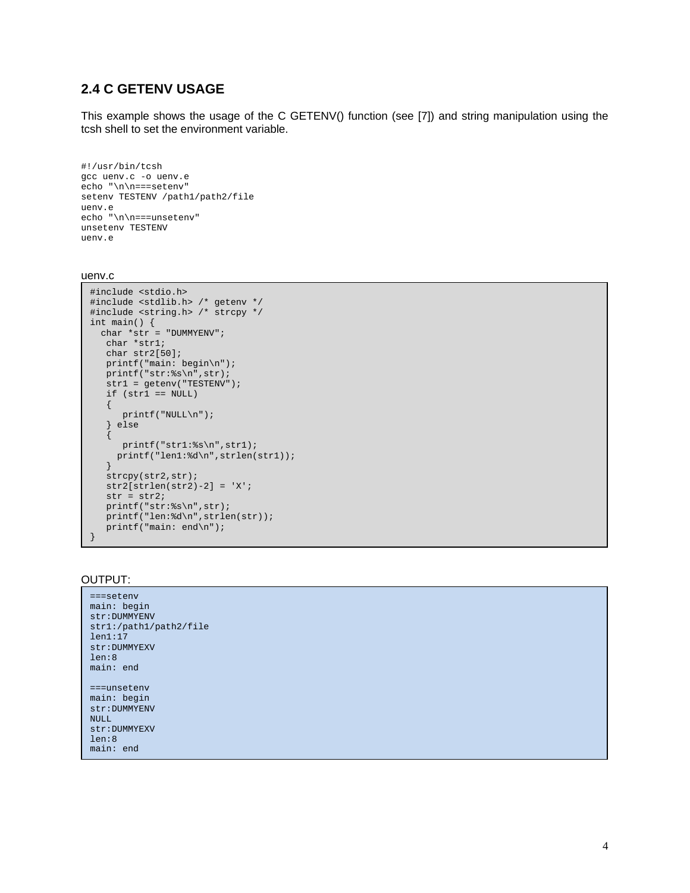# **2.4 C GETENV USAGE**

This example shows the usage of the C GETENV() function (see [7]) and string manipulation using the tcsh shell to set the environment variable.

```
#!/usr/bin/tcsh 
gcc uenv.c -o uenv.e 
echo "\n\n===setenv" 
setenv TESTENV /path1/path2/file 
uenv.e 
echo "\n\n===unsetenv" 
unsetenv TESTENV 
uenv.e
```
uenv.c

```
#include <stdio.h> 
#include <stdlib.h> /* getenv */ 
#include <string.h> /* strcpy */ 
int main() { 
  char *str = "DUMMYENV";
   char *str1; 
   char str2[50]; 
   printf("main: begin\n"); 
   printf("str:%s\n",str); 
   str1 = getenv("TESTENV"); 
   if (str1 == NULL) 
    \left\{ \right.\texttt{print}(\texttt{"NULL}\backslash n\texttt{''}) ;
    } else 
    \{printf("str1:%s\n",str1); 
      printf("len1:%d\n",strlen(str1)); 
    } 
   strcpy(str2,str); 
   str2[strlen(str2)-2] = 'X';
   str = str2; 
   printf("str:%s\n",str); 
   printf("len:%d\n",strlen(str)); 
   printf("main: end\n"); 
}
```
#### OUTPUT:

===setenv main: begin str:DUMMYENV str1:/path1/path2/file len1:17 str:DUMMYEXV len:8 main: end ===unsetenv main: begin str:DUMMYENV  $NIII.I.$ str:DUMMYEXV len:8 main: end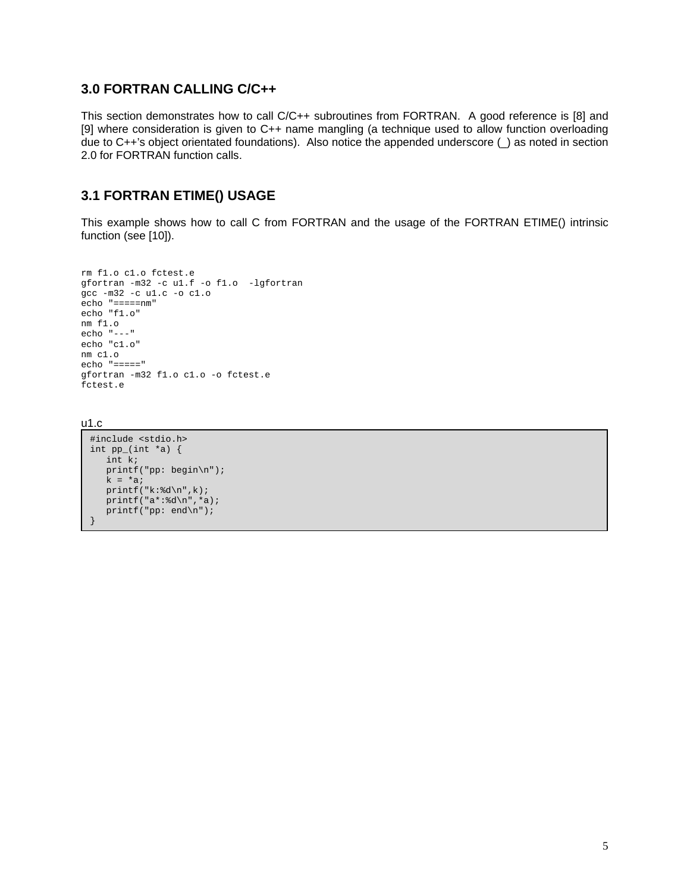## **3.0 FORTRAN CALLING C/C++**

This section demonstrates how to call C/C++ subroutines from FORTRAN. A good reference is [8] and [9] where consideration is given to C++ name mangling (a technique used to allow function overloading due to C++'s object orientated foundations). Also notice the appended underscore (\_) as noted in section 2.0 for FORTRAN function calls.

# **3.1 FORTRAN ETIME() USAGE**

This example shows how to call C from FORTRAN and the usage of the FORTRAN ETIME() intrinsic function (see [10]).

```
rm f1.o c1.o fctest.e 
gfortran -m32 -c u1.f -o f1.o -lgfortran 
gcc -m32 -c u1.c -o c1.o 
echo "=====nm" 
echo "f1.o" 
nm f1.o 
echo "---" 
echo "c1.o" 
nm c1.o 
echo "=====" 
gfortran -m32 f1.o c1.o -o fctest.e 
fctest.e
```
u1.c

```
#include <stdio.h> 
int pp_(int *a) { 
   int k; 
   printf("pp: begin\n"); 
  k = *a;printf("k:%d\n",k); 
   printf("a*:%d\n",*a);
   printf("pp: end\n");
}
```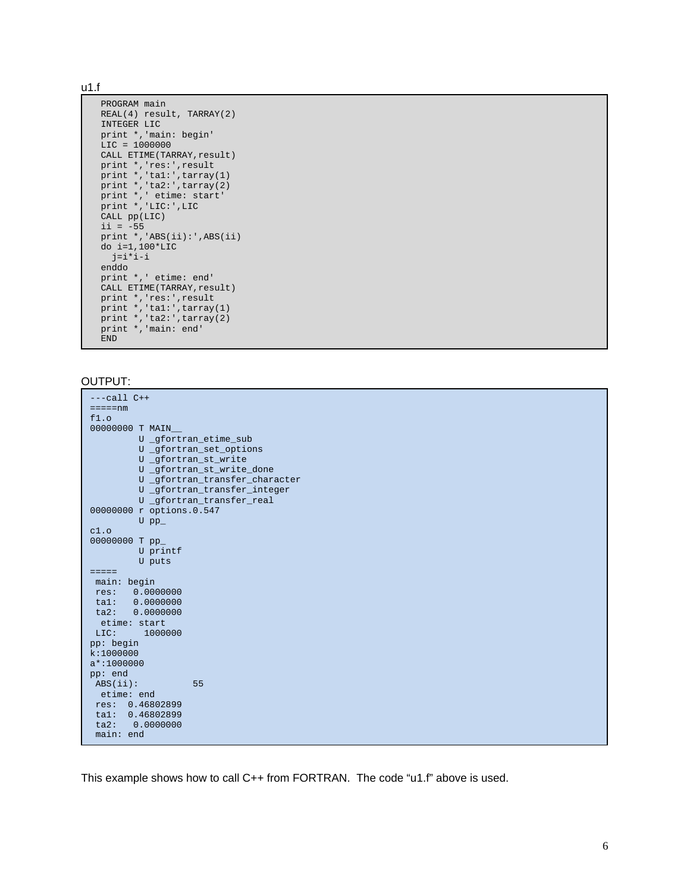u1.f

```
 PROGRAM main 
  REAL(4) result, TARRAY(2) 
  INTEGER LIC 
  print *,'main: begin' 
  LIC = 1000000 
 CALL ETIME(TARRAY, result)
  print *,'res:',result 
 print *, 'tal:', tarray(1)
 print *,'ta2:',tarray(2) 
 print *,' etime: start' 
 print *,'LIC:',LIC 
  CALL pp(LIC) 
 ii = -55 print *,'ABS(ii):',ABS(ii) 
  do i=1,100*LIC 
    j=i*i-i 
  enddo 
  print *,' etime: end' 
 CALL ETIME(TARRAY, result)
 print *,'res:',result 
 print *,'ta1:',tarray(1) 
 print \star, 'ta2:', tarray(2)
  print *,'main: end' 
  END
```
#### OUTPUT:

```
---call C++=-=-nm
f1.o 
00000000 T MAIN__ 
          U _gfortran_etime_sub 
          U _gfortran_set_options 
          U _gfortran_st_write 
          U _gfortran_st_write_done 
          U _gfortran_transfer_character 
          U _gfortran_transfer_integer 
          U _gfortran_transfer_real 
00000000 r options.0.547 
          U pp_ 
c1.o 
00000000 T pp_ 
          U printf 
          U puts 
===== 
 main: begin 
 res: 0.0000000 
 ta1: 0.0000000 
 ta2: 0.0000000 
etime: start<br>LIC: 10000
         L000000
pp: begin 
k:1000000 
a*:1000000 
pp: end 
  ABS(ii): 55 
  etime: end 
  res: 0.46802899 
 ta1: 0.46802899 
 ta2: 0.0000000 
  main: end
```
This example shows how to call C++ from FORTRAN. The code "u1.f" above is used.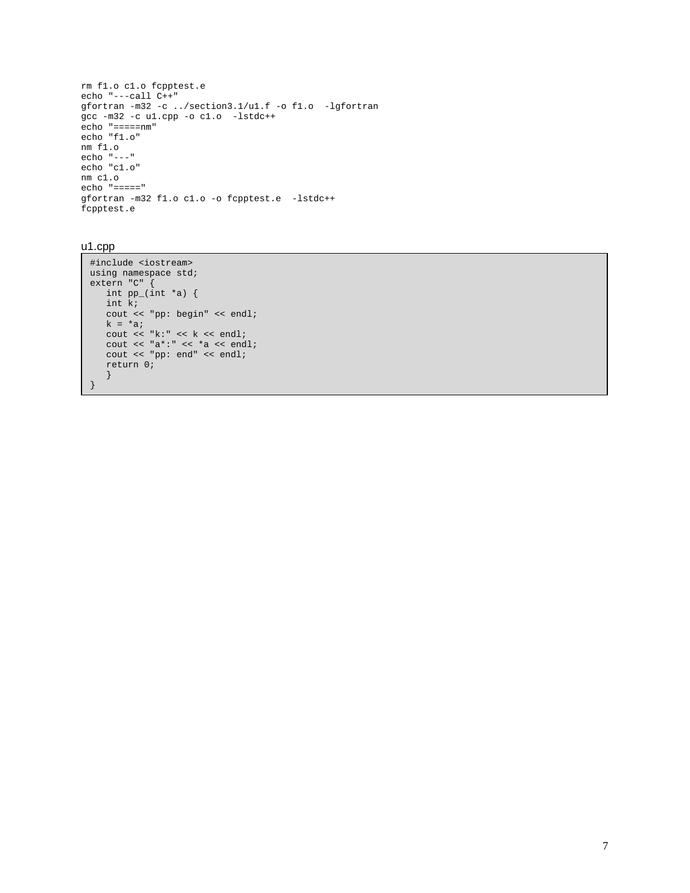```
rm f1.o c1.o fcpptest.e 
echo "---call C++" 
gfortran -m32 -c ../section3.1/u1.f -o f1.o -lgfortran 
gcc -m32 -c u1.cpp -o c1.o -lstdc++ 
echo "=====nm" 
echo "f1.o" 
nm f1.o 
echo "---" 
echo "c1.o" 
nm c1.o 
echo "=====" 
gfortran -m32 f1.o c1.o -o fcpptest.e -lstdc++ 
fcpptest.e
```
#### u1.cpp

```
#include <iostream> 
using namespace std; 
extern "C" { 
   int pp_{i}(int *a) {
   int \overline{k};
   cout << "pp: begin" << endl; 
  k = *a;cout << "k:" << k << endl;
    cout << "a*:" << *a << endl;
    cout << "pp: end" << endl; 
   return 0; 
   } 
}
```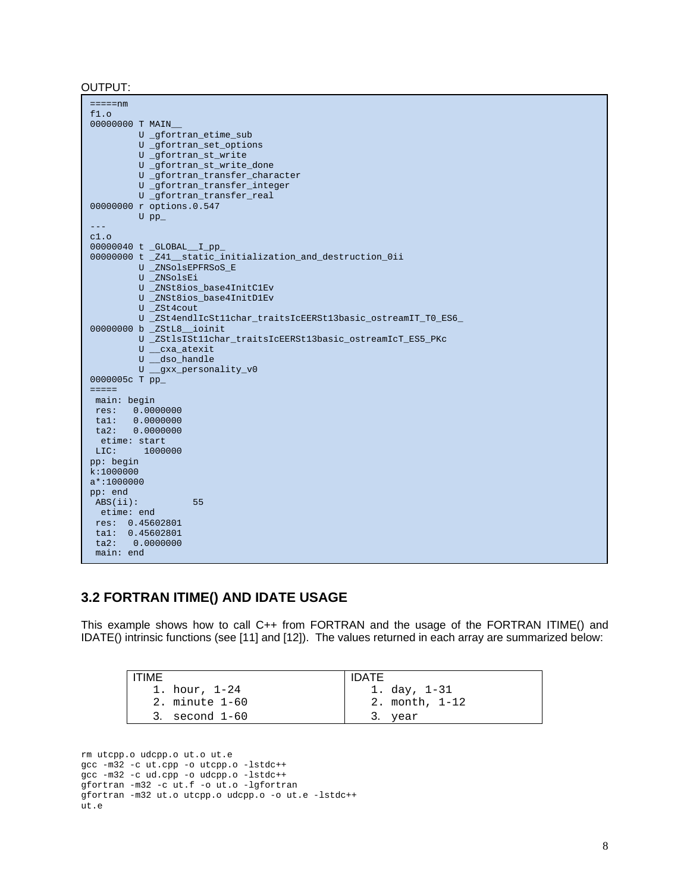OUTPUT:

```
==-=nm
f1.o 
00000000 T MAIN__ 
          U _gfortran_etime_sub 
          U _gfortran_set_options 
          U _gfortran_st_write 
          U _gfortran_st_write_done 
          U _gfortran_transfer_character 
          U _gfortran_transfer_integer 
          U _gfortran_transfer_real 
00000000 r options.0.547 
          U pp_ 
--- 
c1.o 
00000040 t _GLOBAL__I_pp_ 
00000000 t _Z41__static_initialization_and_destruction_0ii 
U _ZNSolsEPFRSoS_E
U _ZNSolsEi
          U _ZNSt8ios_base4InitC1Ev 
          U _ZNSt8ios_base4InitD1Ev 
          U _ZSt4cout 
          U _ZSt4endlIcSt11char_traitsIcEERSt13basic_ostreamIT_T0_ES6_ 
00000000 b _ZStL8__ioinit 
          U _ZStlsISt11char_traitsIcEERSt13basic_ostreamIcT_ES5_PKc 
          U __cxa_atexit 
          U __dso_handle 
          U __gxx_personality_v0 
0000005c T pp_ 
=main: begin<br>res: 0.00
res: 0.0000000<br>tal: 0.0000000
      0.0000000
  ta2: 0.0000000 
  etime: start 
 LIC: 1000000 
pp: begin 
k:1000000a*:1000000 
pp: end 
 ABS(ii): 55 
  etime: end 
  res: 0.45602801 
  ta1: 0.45602801 
  ta2: 0.0000000 
  main: end
```
### **3.2 FORTRAN ITIME() AND IDATE USAGE**

This example shows how to call C++ from FORTRAN and the usage of the FORTRAN ITIME() and IDATE() intrinsic functions (see [11] and [12]). The values returned in each array are summarized below:

| ITIME              | <b>IDATE</b>   |
|--------------------|----------------|
| 1. hour, $1-24$    | 1. $day, 1-31$ |
| $2.$ minute $1-60$ | 2. month, 1-12 |
| $3.$ second $1-60$ | 3. year        |

```
rm utcpp.o udcpp.o ut.o ut.e 
gcc -m32 -c ut.cpp -o utcpp.o -lstdc++ 
gcc -m32 -c ud.cpp -o udcpp.o -lstdc++ 
gfortran -m32 -c ut.f -o ut.o -lgfortran 
gfortran -m32 ut.o utcpp.o udcpp.o -o ut.e -lstdc++ 
ut.e
```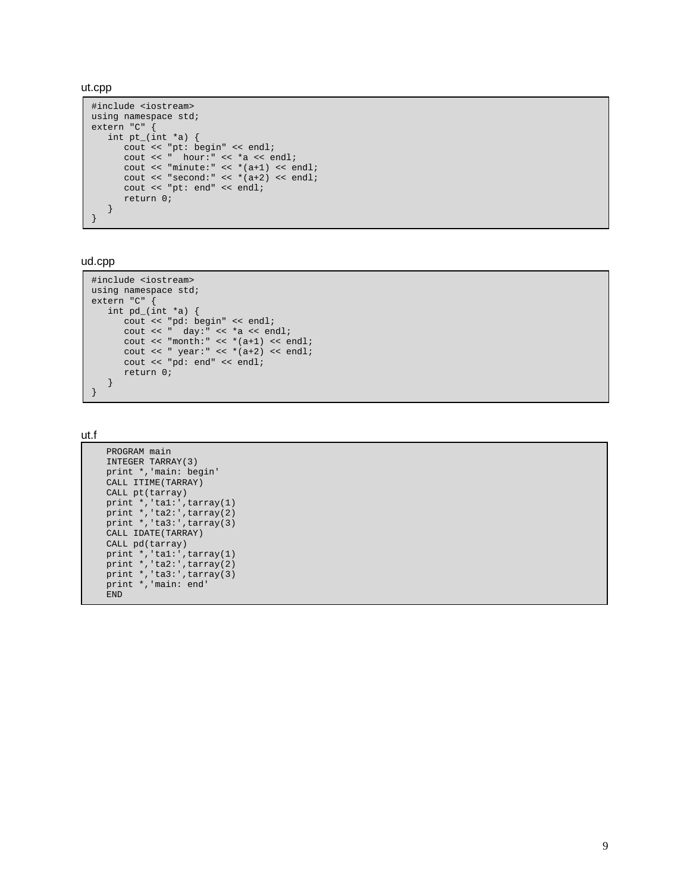ut.cpp

```
#include <iostream> 
using namespace std; 
extern "C" { 
   int pt_{(int *a) } {
      cout << "pt: begin" << endl; 
      cout << " hour:" << *a << endl; 
      cout << "minute:" << *(a+1) << endl; 
      cout << "second: " << * (a+2) << endi;cout << "pt: end" << endl; 
      return 0; 
   } 
}
```
#### ud.cpp

```
#include <iostream> 
using namespace std; 
extern "C" { 
   int pd_{i}(int *a) {
       cout << "pd: begin" << endl; 
       cout << " day:" << *a << endl; 
      cout \langle "month:" \langle \langle * (a+1) \langle endl;
       cout << " year: " < * (a+2) < endi;cout << "pd: end" << endl; 
      return 0; 
   } 
}
```
ut.f

```
PROGRAM main 
INTEGER TARRAY(3) 
print *,'main: begin' 
CALL ITIME(TARRAY) 
CALL pt(tarray) 
print *,'ta1:',tarray(1) 
print *,'ta2:',tarray(2) 
print *,'ta3:',tarray(3) 
CALL IDATE(TARRAY) 
CALL pd(tarray) 
print *,'ta1:',tarray(1) 
print *,'ta2:',tarray(2) 
print *, 'ta3:', tarray(3)
print *,'main: end' 
END
```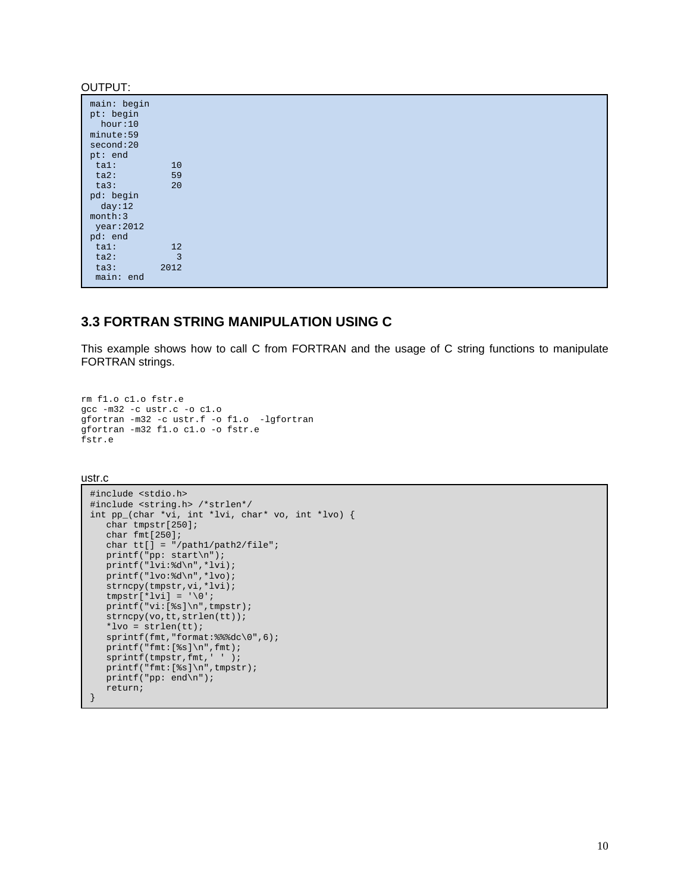| OUTPUT:                                                                  |      |  |
|--------------------------------------------------------------------------|------|--|
| main: begin<br>pt: begin<br>hour:10<br>minute:59<br>second:20<br>pt: end |      |  |
| ta1:                                                                     | 10   |  |
| ta2:                                                                     | 59   |  |
| $\text{ta3:}$                                                            | 20   |  |
| pd: begin                                                                |      |  |
| day:12                                                                   |      |  |
| month:3                                                                  |      |  |
| year: 2012                                                               |      |  |
| pd: end                                                                  |      |  |
| tal:                                                                     | 12   |  |
| ta2:                                                                     | 3    |  |
| ta3:                                                                     | 2012 |  |
| main: end                                                                |      |  |

### **3.3 FORTRAN STRING MANIPULATION USING C**

This example shows how to call C from FORTRAN and the usage of C string functions to manipulate FORTRAN strings.

```
rm f1.o c1.o fstr.e 
gcc -m32 -c ustr.c -o c1.o 
gfortran -m32 -c ustr.f -o f1.o -lgfortran 
gfortran -m32 f1.o c1.o -o fstr.e 
fstr.e
```
ustr.c

```
#include <stdio.h> 
#include <string.h> /*strlen*/ 
int pp_(char *vi, int *lvi, char* vo, int *lvo) { 
  char tmpstr[250];
    char fmt[250]; 
  char tt[] = "/path1/path2/file";
   printf("pp: start\n"); 
    printf("lvi:%d\n",*lvi); 
    printf("lvo:%d\n",*lvo); 
   strncpy(tmpstr,vi,*lvi); 
  tmpstr[*lvi] = '\0'; printf("vi:[%s]\n",tmpstr); 
   strncpy(vo,tt,strlen(tt));
    *lvo = strlen(tt); 
 sprintf(fmt,"format:%%%dc\0",6); 
 printf("fmt:[%s]\n",fmt); 
   sprintf(tmpstr,fmt,' ' );
    printf("fmt:[%s]\n",tmpstr); 
    printf("pp: end\n"); 
    return;
```
}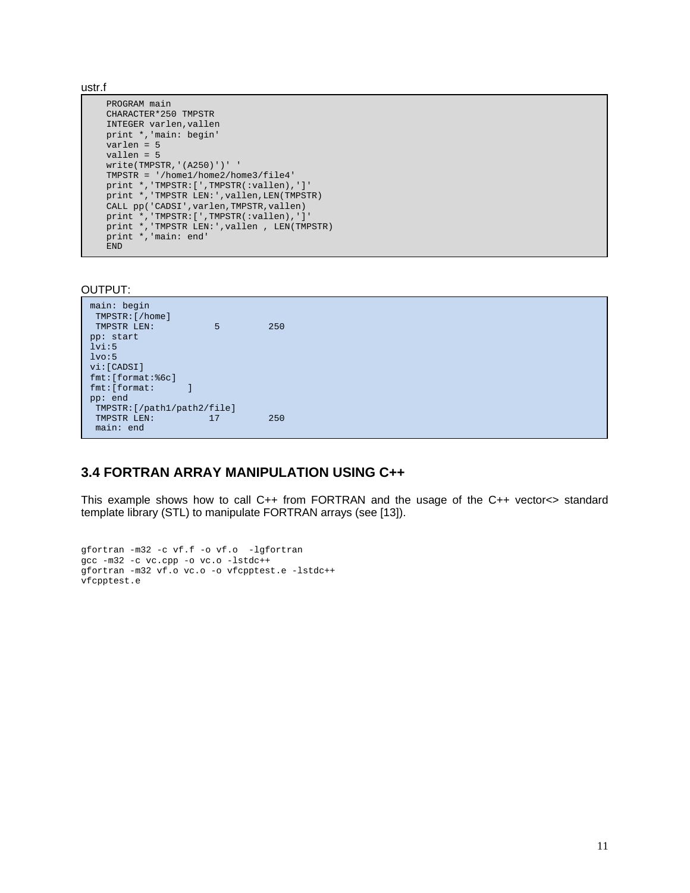ustr.f

```
PROGRAM main 
CHARACTER*250 TMPSTR 
INTEGER varlen,vallen 
print *,'main: begin' 
varlen = 5 
vallen = 5 
write(TMPSTR,'(A250)')' ' 
TMPSTR = '/home1/home2/home3/file4' 
print *,'TMPSTR:[',TMPSTR(:vallen),']' 
print *,'TMPSTR LEN:',vallen,LEN(TMPSTR) 
CALL pp('CADSI',varlen,TMPSTR,vallen) 
print *,'TMPSTR:[',TMPSTR(:vallen),']' 
print *,'TMPSTR LEN:',vallen , LEN(TMPSTR) 
print *,'main: end' 
END
```
#### OUTPUT:

```
main: begin 
TMPSTR: [/home]<br>TMPSTR LEN:
                  TMPSTR LEN: 5 250 
pp: start 
lvi:5 
lvo:5 
vi:[CADSI] 
fmt:[format:%6c] 
fmt:[format: ]
pp: end 
 TMPSTR:[/path1/path2/file] 
 TMPSTR LEN: 17 250 
  main: end
```
## **3.4 FORTRAN ARRAY MANIPULATION USING C++**

This example shows how to call C++ from FORTRAN and the usage of the C++ vector<> standard template library (STL) to manipulate FORTRAN arrays (see [13]).

```
gfortran -m32 -c vf.f -o vf.o -lgfortran 
gcc -m32 -c vc.cpp -o vc.o -lstdc++ 
gfortran -m32 vf.o vc.o -o vfcpptest.e -lstdc++ 
vfcpptest.e
```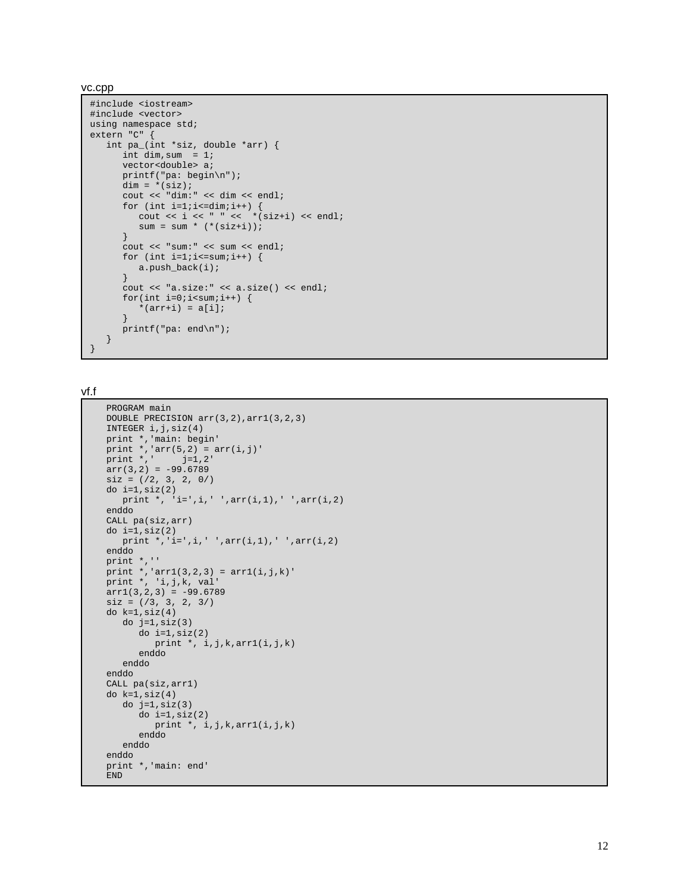vc.cpp

```
#include <iostream> 
#include <vector> 
using namespace std; 
extern "C" { 
   int pa_(int *siz, double *arr) { 
      int dim, sum = 1;
       vector<double> a; 
      printf("pa: begin\n"); 
       dim = * (size);cout << "dim:" << dim << endl; 
       for (int i=1; i<=dim;i++) {
          cout \langle i \langle i \rangle = \langle i \langle i \rangle i \langle i \langle i \rangle i \langle endl;
          sum = sum * (* (size + i));} 
       cout << "sum:" << sum << endl; 
       for (int i=1; i<=sum; i++) {
          a.push_back(i); 
       } 
       cout << "a.size:" << a.size() << endl; 
       for(int i=0; i < sum; i++) {
          *(arr+i) = a[i];} 
       printf("pa: end\n"); 
   } 
}
```
vf.f

```
PROGRAM main 
DOUBLE PRECISION arr(3,2),arr1(3,2,3) 
INTEGER i,j,siz(4) 
print *,'main: begin' 
print \star, 'arr(5,2) = arr(i,j)'
print *, j=1,2'
arr(3,2) = -99.6789\text{six} = \frac{1}{2}, 3, 2, 0do i=1, size(2)print *, 'i=',i,' ',arr(i,1),' ',arr(i,2) 
enddo 
CALL pa(siz,arr) 
do i=1, size(2)print *,'i=',i,' ',arr(i,1),' ',arr(i,2) 
enddo 
print *,'' 
print *,'arr1(3,2,3) = arr1(i,j,k)' 
print *, 'i,j,k, val' 
arr1(3,2,3) = -99.6789size = (73, 3, 2, 37)do k=1,siz(4) 
   do j=1, size(3)do i=1, size(2)print *, i,j,k,arr1(i,j,k) 
      enddo 
   enddo 
enddo 
CALL pa(siz,arr1) 
do k=1, size(4)do j=1, size(3)do i=1, size(2)print *, i, j, k, arr1(i, j, k)enddo 
   enddo 
enddo 
print *,'main: end' 
END
```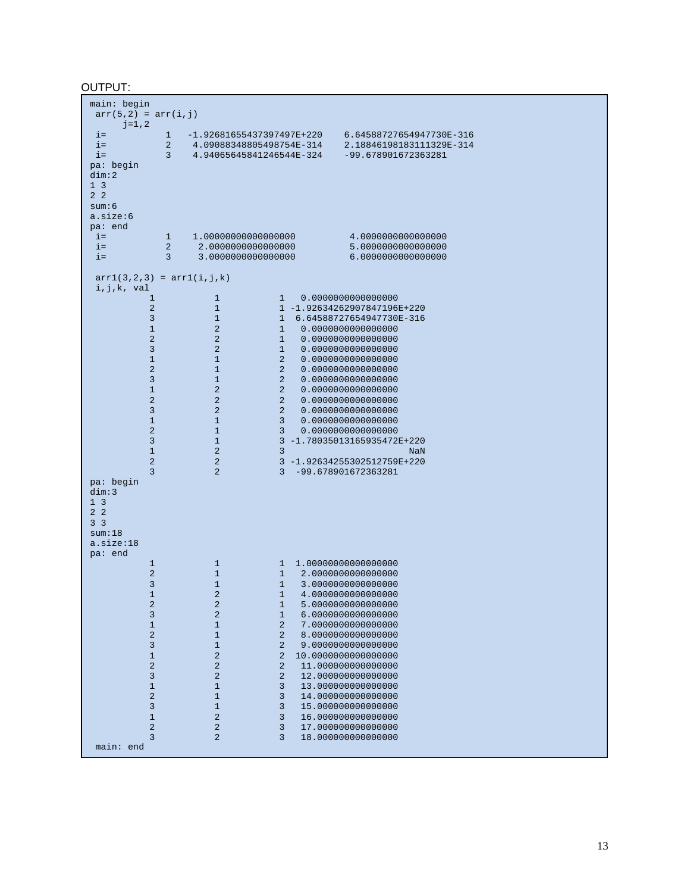# OUTPUT:

| main: begin                    |                                |                                  |                                  |                                          |  |
|--------------------------------|--------------------------------|----------------------------------|----------------------------------|------------------------------------------|--|
| $arr(5,2) = arr(i,j)$          |                                |                                  |                                  |                                          |  |
| $j=1,2$                        |                                | $-1.92681655437397497E+220$      |                                  | 6.64588727654947730E-316                 |  |
| $i =$<br>$i =$                 | $\mathbf{1}$<br>$\overline{a}$ | 4.09088348805498754E-314         |                                  | 2.18846198183111329E-314                 |  |
| $i =$                          | 3                              | 4.94065645841246544E-324         |                                  | -99.678901672363281                      |  |
| pa: begin                      |                                |                                  |                                  |                                          |  |
| dim:2                          |                                |                                  |                                  |                                          |  |
| 1 <sub>3</sub>                 |                                |                                  |                                  |                                          |  |
| 2 <sub>2</sub>                 |                                |                                  |                                  |                                          |  |
| sum:6                          |                                |                                  |                                  |                                          |  |
| a.size: 6                      |                                |                                  |                                  |                                          |  |
| pa: end                        |                                |                                  |                                  |                                          |  |
| $i =$                          | $\mathbf{1}$                   | 1.00000000000000000              |                                  | 4.0000000000000000                       |  |
| $i =$                          | $\overline{a}$                 | 2.000000000000000                |                                  | 5.000000000000000                        |  |
| $i =$                          | 3                              | 3.0000000000000000               |                                  | 6.0000000000000000                       |  |
| $arr1(3,2,3) = arr1(i,j,k)$    |                                |                                  |                                  |                                          |  |
| i,j,k, val                     |                                |                                  |                                  |                                          |  |
| 1                              |                                | $\mathbf{1}$                     | $\mathbf{1}$                     | 0.0000000000000000                       |  |
| $\overline{c}$                 |                                | $\mathbf{1}$                     |                                  | 1 -1.92634262907847196E+220              |  |
| 3                              |                                | $\mathbf{1}$                     | $\mathbf{1}$                     | 6.64588727654947730E-316                 |  |
| $\mathbf{1}$                   |                                | $\overline{2}$                   | $\mathbf{1}$                     | 0.0000000000000000                       |  |
| $\sqrt{2}$                     |                                | $\overline{a}$                   | $\mathbf{1}$                     | 0.0000000000000000                       |  |
| 3                              |                                | $\overline{2}$                   | $\mathbf{1}$                     | 0.0000000000000000                       |  |
| $\mathbf{1}$                   |                                | $\mathbf 1$                      | $\overline{a}$                   | 0.0000000000000000                       |  |
| $\sqrt{2}$                     |                                | $\mathbf 1$                      | $\overline{a}$                   | 0.0000000000000000                       |  |
| 3                              |                                | $\mathbf 1$                      | $\overline{a}$                   | 0.0000000000000000                       |  |
| $\mathbf{1}$<br>$\overline{a}$ |                                | $\overline{2}$<br>$\overline{2}$ | $\overline{a}$<br>$\overline{a}$ | 0.0000000000000000<br>0.0000000000000000 |  |
| 3                              |                                | $\overline{a}$                   | $\overline{a}$                   | 0.0000000000000000                       |  |
| $\mathbf{1}$                   |                                | $\mathbf 1$                      | 3                                | 0.0000000000000000                       |  |
| $\overline{a}$                 |                                | $\mathbf{1}$                     | $\overline{3}$                   | 0.0000000000000000                       |  |
| 3                              |                                | $\mathbf{1}$                     |                                  | 3 -1.78035013165935472E+220              |  |
| $\mathbf{1}$                   |                                | $\overline{a}$                   | 3                                | NaN                                      |  |
| $\overline{a}$                 |                                | $\overline{a}$                   |                                  | 3 -1.92634255302512759E+220              |  |
| 3                              |                                | $\overline{a}$                   | 3                                | -99.678901672363281                      |  |
| pa: begin                      |                                |                                  |                                  |                                          |  |
| dim:3                          |                                |                                  |                                  |                                          |  |
| 1 <sub>3</sub>                 |                                |                                  |                                  |                                          |  |
| 2 <sub>2</sub>                 |                                |                                  |                                  |                                          |  |
| 3 <sup>3</sup>                 |                                |                                  |                                  |                                          |  |
| sum:18                         |                                |                                  |                                  |                                          |  |
| a.size: 18<br>pa: end          |                                |                                  |                                  |                                          |  |
| $\mathbf{1}$                   |                                | $\mathbf{1}$                     | $\mathbf{1}$                     | 1.00000000000000000                      |  |
| $\overline{a}$                 |                                | $\mathbf{1}$                     | $\mathbf{1}$                     | 2.000000000000000                        |  |
| 3                              |                                | $\mathbf 1$                      | $\mathbf{1}$                     | 3.0000000000000000                       |  |
| $\mathbf 1$                    |                                | $\overline{a}$                   | $\mathbf{1}$                     | 4.0000000000000000                       |  |
| $\overline{a}$                 |                                | $\overline{a}$                   | $\mathbf{1}$                     | 5.000000000000000                        |  |
| $\mathbf{3}$                   |                                | $\sqrt{2}$                       | $\mathbf{1}$                     | 6.000000000000000                        |  |
| $1\,$                          |                                | $1\,$                            | $\sqrt{2}$                       | 7.000000000000000                        |  |
| $\sqrt{2}$                     |                                | $\mathbf{1}$                     | $\overline{a}$                   | 8.0000000000000000                       |  |
| 3                              |                                | $1\,$                            | $\overline{a}$                   | 9.0000000000000000                       |  |
| $\mathbf 1$                    |                                | $\overline{a}$                   | $\overline{\mathbf{c}}$          | 10.0000000000000000                      |  |
| $\overline{a}$                 |                                | $\overline{a}$                   | $\overline{c}$                   | 11.00000000000000                        |  |
| 3<br>$\mathbf{1}$              |                                | $\overline{a}$<br>$\mathbf{1}$   | $\overline{a}$<br>3              | 12.00000000000000<br>13.00000000000000   |  |
| $\overline{a}$                 |                                | $\mathbf{1}$                     | 3                                | 14.00000000000000                        |  |
| 3                              |                                | $\mathbf 1$                      | 3                                | 15.00000000000000                        |  |
| $\mathbf{1}$                   |                                | $\overline{2}$                   | 3                                | 16.00000000000000                        |  |
| $\overline{a}$                 |                                | $\sqrt{2}$                       | 3                                | 17.00000000000000                        |  |
| 3                              |                                | $\overline{a}$                   | $\overline{3}$                   | 18.00000000000000                        |  |
| main: end                      |                                |                                  |                                  |                                          |  |
|                                |                                |                                  |                                  |                                          |  |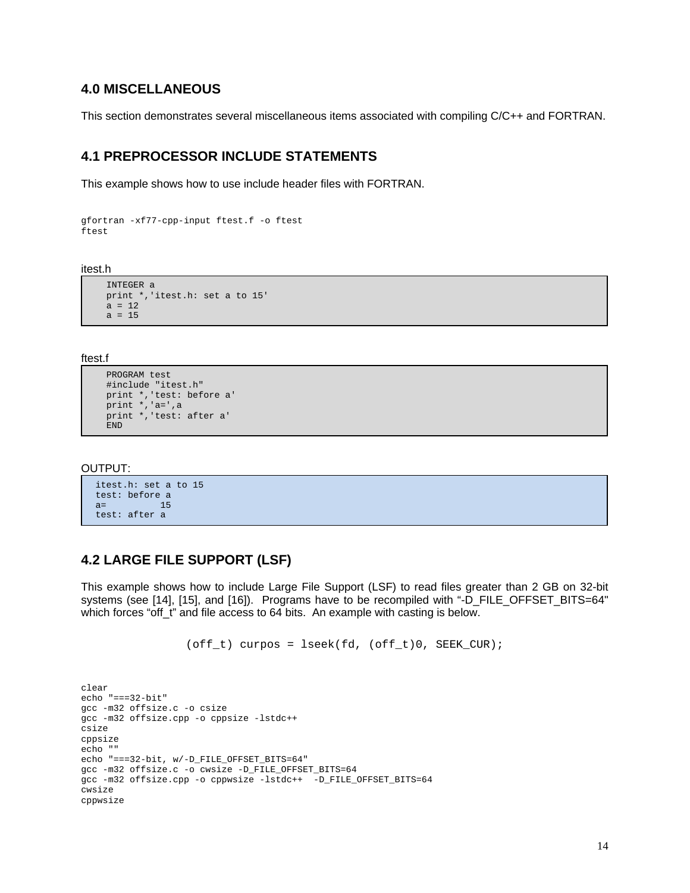## **4.0 MISCELLANEOUS**

This section demonstrates several miscellaneous items associated with compiling C/C++ and FORTRAN.

## **4.1 PREPROCESSOR INCLUDE STATEMENTS**

This example shows how to use include header files with FORTRAN.

```
gfortran -xf77-cpp-input ftest.f -o ftest 
ftest
```
itest.h

```
INTEGER a 
print *,'itest.h: set a to 15' 
a = 12a = 15
```
ftest.f

```
PROGRAM test 
#include "itest.h" 
print *,'test: before a' 
print *,'a=',a 
print *,'test: after a' 
END
```
#### OUTPUT:

```
 itest.h: set a to 15 
 test: before a 
 a= 15 
 test: after a
```
### **4.2 LARGE FILE SUPPORT (LSF)**

This example shows how to include Large File Support (LSF) to read files greater than 2 GB on 32-bit systems (see [14], [15], and [16]). Programs have to be recompiled with "-D\_FILE\_OFFSET\_BITS=64" which forces "off t" and file access to 64 bits. An example with casting is below.

```
(off_t) curpos = lseek(fd, (off_t)0, SEEK_CUR);
```

```
clear 
echo "===32-bit" 
gcc -m32 offsize.c -o csize 
gcc -m32 offsize.cpp -o cppsize -lstdc++ 
csize 
cppsize 
echo "" 
echo "===32-bit, w/-D_FILE_OFFSET_BITS=64"
gcc -m32 offsize.c -o cwsize -D_FILE_OFFSET_BITS=64 
gcc -m32 offsize.cpp -o cppwsize -lstdc++ -D_FILE_OFFSET_BITS=64 
cwsize 
cppwsize
```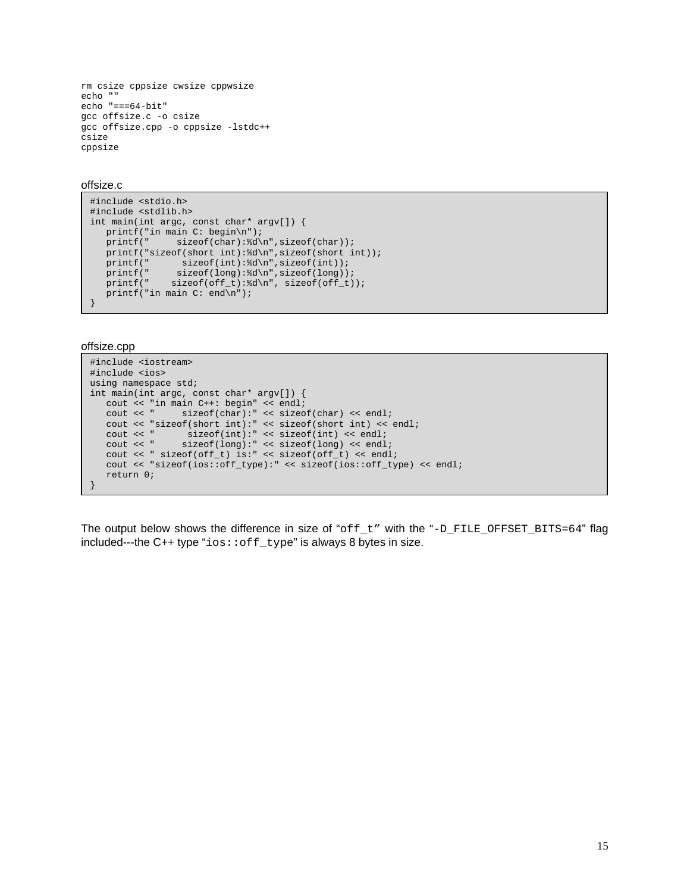```
rm csize cppsize cwsize cppwsize 
echo "" 
echo "===64-bit" 
gcc offsize.c -o csize 
gcc offsize.cpp -o cppsize -lstdc++ 
csize 
cppsize
```
#### offsize.c

```
#include <stdio.h> 
#include <stdlib.h> 
int main(int argc, const char* argv[]) { 
    printf("in main C: begin\n");<br>printf(" sizeof(char):%d\
                      sizeof(char):%d\n",sizeof(char));
    printf("sizeof(short int):%d\n",sizeof(short int)); 
    \begin{array}{lll} \texttt{printf(")} & \texttt{sizeof(int)}:\texttt{sizeof(int)}; \\ \texttt{printf(")} & \texttt{sizeof(long)}:\texttt{sizeof(long)} \end{array}printf(" sizeof(long):%d\n",sizeof(long));<br>printf(" sizeof(off t):%d\n", sizeof(off t)
                    sizeof(off t):d\n', sizeof(off t));
    printf("in main C: end\overline{\n\cdot\}");
}
```
#### offsize.cpp

```
#include <iostream> 
#include <ios> 
using namespace std; 
int main(int argc, const char* argv[]) { 
   cout << "in main C++: begin" << endl; 
   cout << " sizeof(char):" << sizeof(char) << endl; 
   cout << "sizeof(short int):" << sizeof(short int) << endl;<br>cout << " sizeof(int):" << sizeof(int) << endl;
   cout << " sizeof(int):" << sizeof(int) << endl;<br>cout << " sizeof(long):" << sizeof(long) << endl;
                     sizeof(long): " << sizeof(long) << endi;cout << " sizeof(off_t) is:" << sizeof(off_t) << endl; 
   cout << "sizeof(ios::off_type):" << sizeof(ios::off_type) << endl; 
   return 0; 
}
```
The output below shows the difference in size of "off\_t" with the "-D\_FILE\_OFFSET\_BITS=64" flag included---the C++ type "ios::off\_type" is always 8 bytes in size.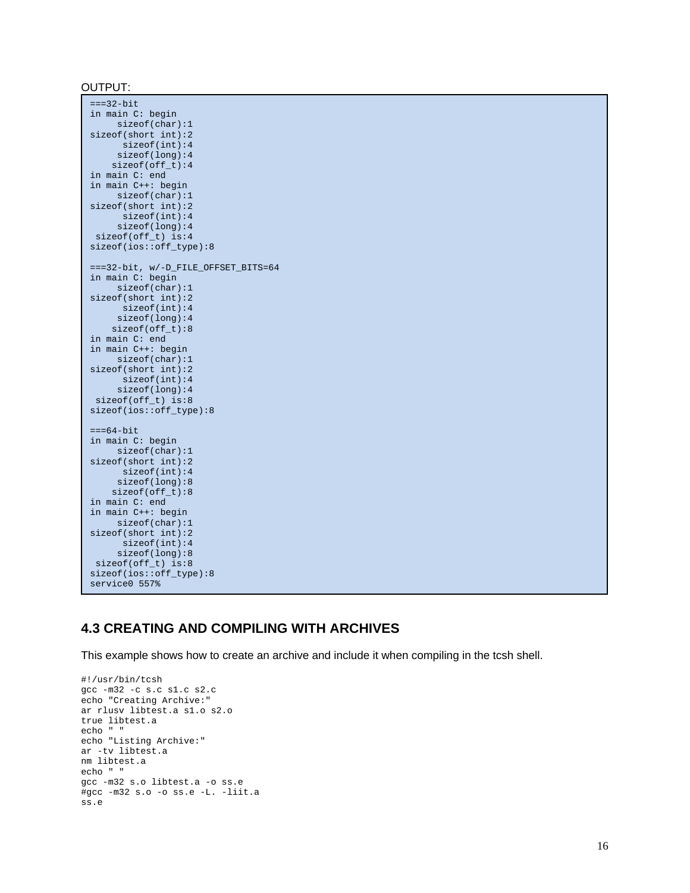```
==32-bitin main C: begin 
      sizeof(char):1 
sizeof(short int):2 
      sizeof(int):4 
      sizeof(long):4 
     sizeof(off_t):4 
in main C: end 
in main C++: begin 
      sizeof(char):1 
sizeof(short int):2 
      sizeof(int):4 
      sizeof(long):4 
 sizeof(off_t) is:4 
sizeof(ios::off_type):8 
===32-bit, w/-D_FILE_OFFSET_BITS=64 
in main C: begin 
     sizeof(char):1 
sizeof(short int):2 
      sizeof(int):4 
      sizeof(long):4 
     sizeof(off_t):8 
in main C: end 
in main C++: begin 
      sizeof(char):1 
sizeof(short int):2 
      sizeof(int):4 
      sizeof(long):4 
  sizeof(off_t) is:8 
sizeof(ios::off_type):8 
===64-bitin main C: begin 
     sizeof(char):1 
sizeof(short int):2 
      sizeof(int):4 
      sizeof(long):8 
    sizeof(off t):8
in main C: end 
in main C++: begin 
      sizeof(char):1 
sizeof(short int):2 
      sizeof(int):4 
      sizeof(long):8 
 sizeof(off_t) is:8 
sizeof(ios::off_type):8 
service0 557%
```
# **4.3 CREATING AND COMPILING WITH ARCHIVES**

This example shows how to create an archive and include it when compiling in the tcsh shell.

```
#!/usr/bin/tcsh 
gcc -m32 -c s.c s1.c s2.c 
echo "Creating Archive:" 
ar rlusv libtest.a s1.o s2.o 
true libtest.a 
echo " " 
echo "Listing Archive:" 
ar -tv libtest.a 
nm libtest.a 
echo " " 
gcc -m32 s.o libtest.a -o ss.e 
#gcc -m32 s.o -o ss.e -L. -liit.a 
ss.e
```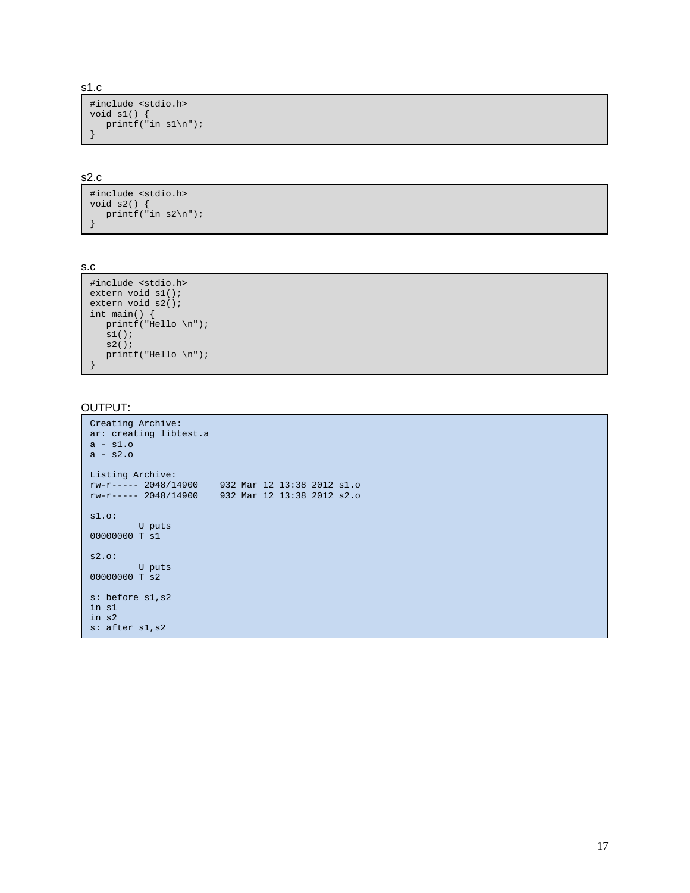s1.c

```
#include <stdio.h> 
void sl() {
  printf("in s1\n"); 
}
```
s2.c

```
#include <stdio.h> 
void s2() { 
 printf("in s2\n"); 
}
```
s.c

```
#include <stdio.h> 
extern void s1();
extern void s2();
int main() { 
  printf("Hello \n"); 
   s1(); 
   s2(); 
  printf("Hello \n"); 
}
```
#### OUTPUT:

```
Creating Archive: 
ar: creating libtest.a 
a - s1.o 
a - s2.o 
Listing Archive: 
rw-r----- 2048/14900 932 Mar 12 13:38 2012 s1.o 
rw-r----- 2048/14900 932 Mar 12 13:38 2012 s2.o 
s1.o: 
         U puts 
00000000 T s1
s2.o: 
         U puts 
00000000 T s2 
s: before s1,s2 
in s1 
in s2 
s: after s1,s2
```